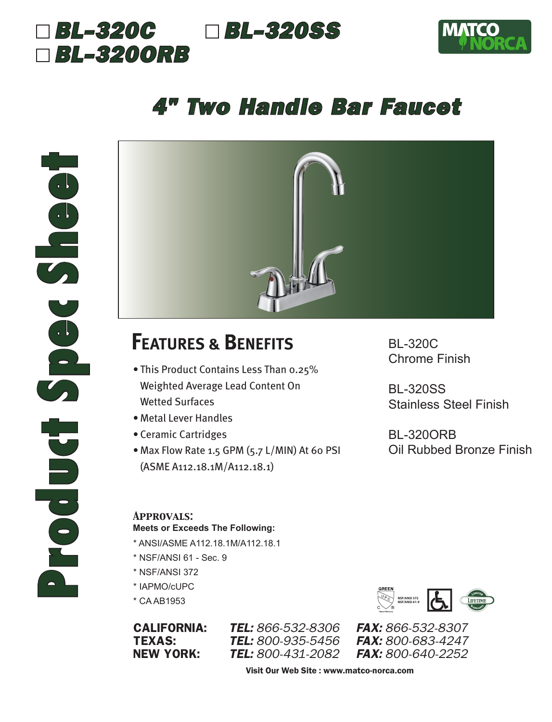## *BL-320C BL-320SS BL-320ORB*



# *4" Two Handle Bar Faucet*



## **FEATURES & BENEFITS**

- This Product Contains Less Than 0.25% Weighted Average Lead Content On Wetted Surfaces
- Metal Lever Handles
- Ceramic Cartridges
- Max Flow Rate 1.5 GPM (5.7 L/MIN) At 60 PSI (ASME A112.18.1M/A112.18.1)

BL-320C Chrome Finish

BL-320SS Stainless Steel Finish

BL-320ORB Oil Rubbed Bronze Finish

#### *Approvals:* **Meets or Exceeds The Following:**

- \* ANSI/ASME A112.18.1M/A112.18.1
- \* NSF/ANSI 61 Sec. 9
- \* NSF/ANSI 372
- \* IAPMO/cUPC
- \* CA AB1953

CALIFORNIA: *TEL: 866-532-8306 FAX: 866-532-8307* **TEL:** 800-935-5456 NEW YORK: *TEL: 800-431-2082 FAX: 800-640-2252*



Visit Our Web Site : www.matco-norca.com